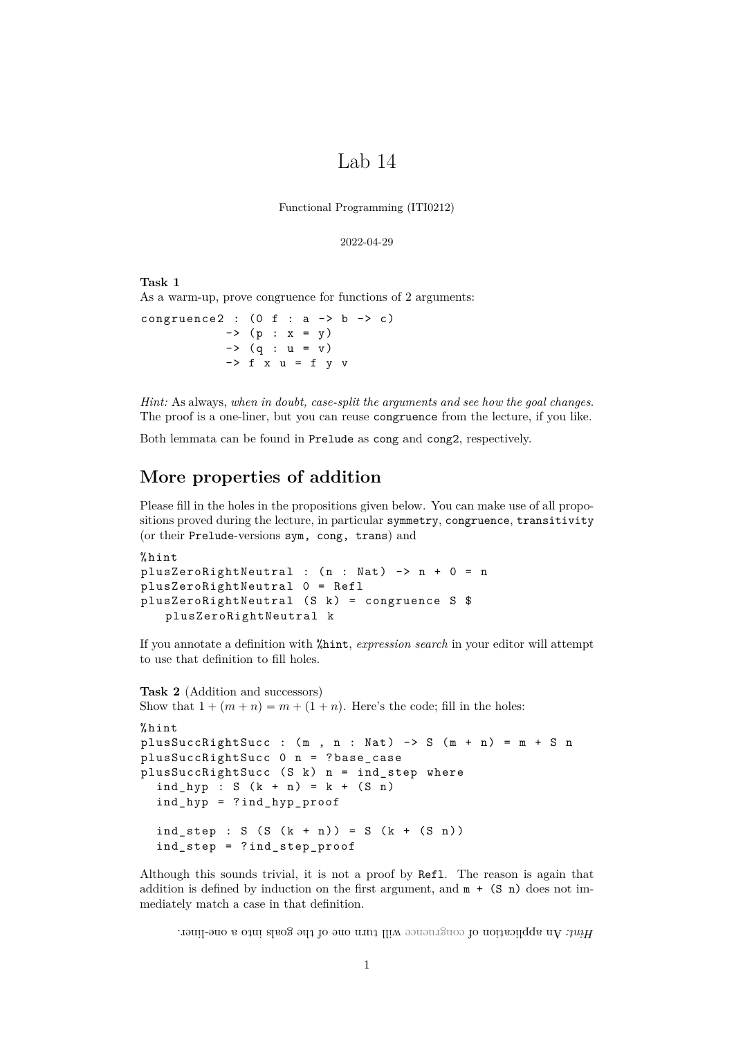# Lab 14

Functional Programming (ITI0212)

```
2022-04-29
```
**Task 1** As a warm-up, prove congruence for functions of 2 arguments:

congruence2 :  $(0 f : a \rightarrow b \rightarrow c)$  $\rightarrow$  (p : x = y)  $\rightarrow$  (q : u = v)  $\rightarrow$  f x u = f y v

*Hint:* As always, *when in doubt, case-split the arguments and see how the goal changes*. The proof is a one-liner, but you can reuse congruence from the lecture, if you like.

Both lemmata can be found in Prelude as cong and cong2, respectively.

## **More properties of addition**

Please fill in the holes in the propositions given below. You can make use of all propositions proved during the lecture, in particular symmetry, congruence, transitivity (or their Prelude-versions sym, cong, trans) and

```
% hint
plusZeroRightNeutral : (n : Nat) \rightarrow n + 0 = nplusZeroRightNeutral 0 = Refl
plusZeroRightNeutral (S k) = congruence S $
   plusZeroRightNeutral k
```
If you annotate a definition with %hint, *expression search* in your editor will attempt to use that definition to fill holes.

```
Task 2 (Addition and successors)
Show that 1 + (m + n) = m + (1 + n). Here's the code; fill in the holes:
% hint
plusSuccRightSucc : (m, n : Nat) -> S (m + n) = m + S nplusSuccRightSucc 0 n = ? base_case
plusSuccRightSucc (S k) n = ind\_step where
  ind_{p} : S (k + n) = k + (S n)ind_hyp = ? ind_hyp_proof
  ind\_step : S (S (k + n)) = S (k + (S n))ind_step = ? ind_step_proof
```
Although this sounds trivial, it is not a proof by Refl. The reason is again that addition is defined by induction on the first argument, and  $m + (S n)$  does not immediately match a case in that definition.

Wit: An application of congruence will turn one of the goals into a one-liner.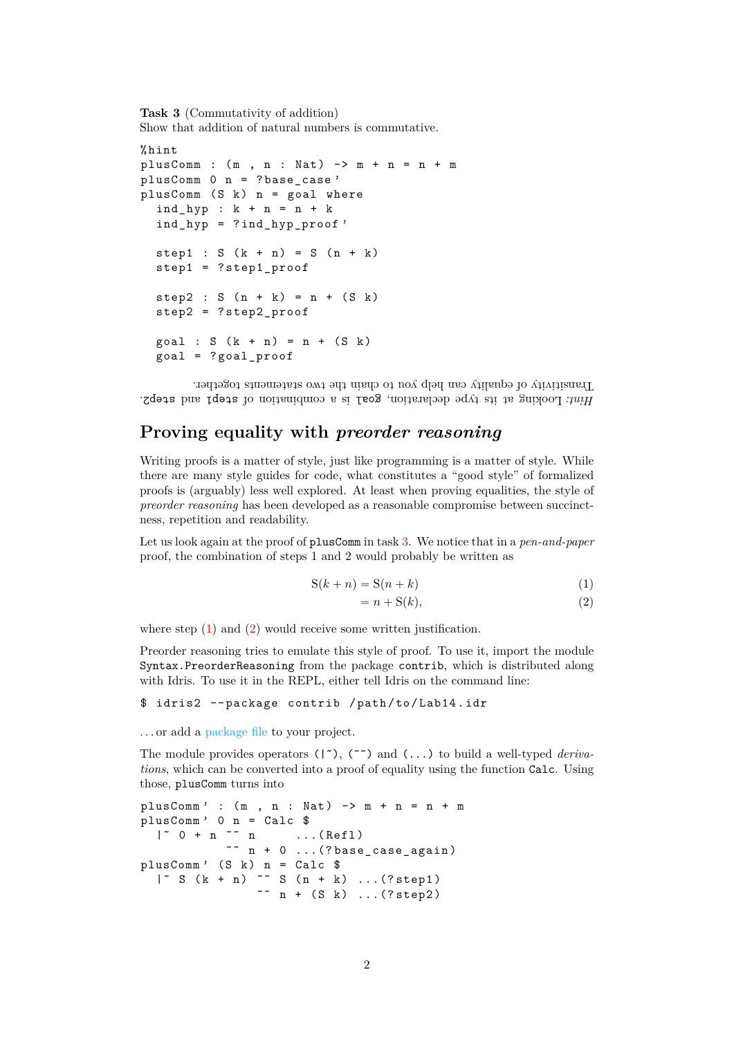<span id="page-1-0"></span>**Task 3** (Commutativity of addition) Show that addition of natural numbers is commutative.

```
% hint
plusComm : (m , n : Nat) \rightarrow m + n = n + mplusComm 0 n = ? base case '
plusComm (S k) n = goal where
  ind_hyp : k + n = n + kind_hyp = ? ind_hyp_proof '
  step1 : S (k + n) = S (n + k)step1 = ? step1_proof
  step2 : S (n + k) = n + (S k)step2 = ? step2_proof
  goal : S (k + n) = n + (S k)goal = ? goal_proof
```
Hint: Looking at its type declaration, goal is a combination of step1 and step2. Transitivity of equality can help you to chain the two statements together.

# **Proving equality with** *preorder reasoning*

Writing proofs is a matter of style, just like programming is a matter of style. While there are many style guides for code, what constitutes a "good style" of formalized proofs is (arguably) less well explored. At least when proving equalities, the style of *preorder reasoning* has been developed as a reasonable compromise between succinctness, repetition and readability.

Let us look again at the proof of plusComm in task [3.](#page-1-0) We notice that in a *pen-and-paper* proof, the combination of steps 1 and 2 would probably be written as

$$
S(k+n) = S(n+k)
$$
 (1)

<span id="page-1-2"></span><span id="page-1-1"></span>
$$
= n + S(k),\tag{2}
$$

where step  $(1)$  and  $(2)$  would receive some written justification.

Preorder reasoning tries to emulate this style of proof. To use it, import the module Syntax.PreorderReasoning from the package contrib, which is distributed along with Idris. To use it in the REPL, either tell Idris on the command line:

#### \$ idris2 -- package contrib / path / to / Lab14 . idr

. . . or add a [package file](https://idris2.readthedocs.io/en/latest/tutorial/packages.html) to your project.

The module provides operators ( $|\,\tilde{\,}\,\rangle$ ,  $(\tilde{\,}\,\tilde{\,}\,\,)$  and  $(\,\ldots)$  to build a well-typed *derivations*, which can be converted into a proof of equality using the function Calc. Using those, plusComm turns into

```
plusComm' : (m, n : Nat) \rightarrow m + n = n + mplusComm' 0 n = Calc \frac{1}{\sqrt{a}} = Calc \frac{1}{\sqrt{a}}\ldots (Refl)
               \tilde{r} n + 0 ...(? base_case_again)
plusComm' (S \lt k) n = Calc \text{\$}|\tilde{S}(k + n) \sim S(n + k) \dots (?step1)~~ n + (S k) ... (?step2)
```